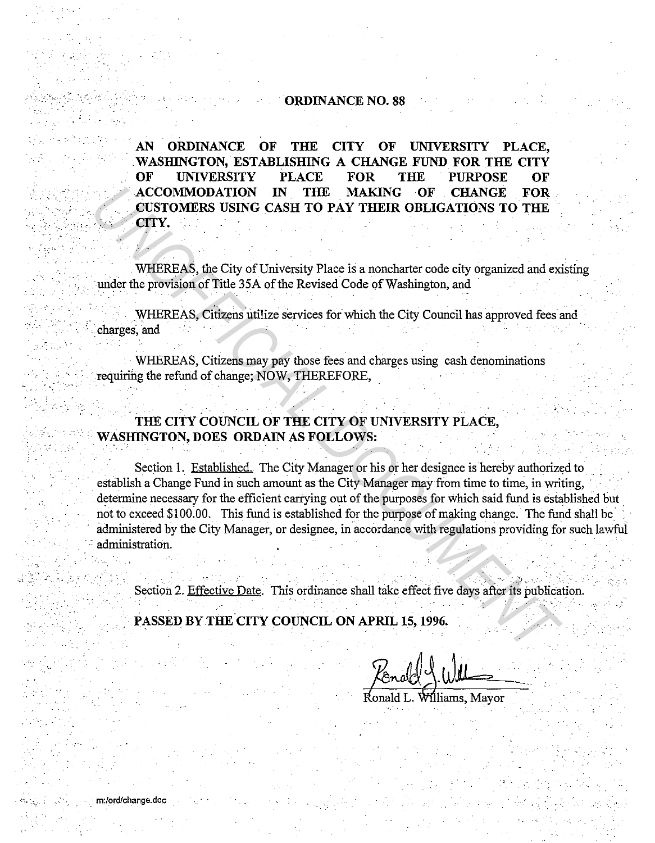## **ORDINANCE NO. 88**

AN **ORDINANCE** OF THE. **CITY** OF **UNIVERSITY** PLACE. WASHINGTON, ESTABLISHING A CHANGE FUND FOR THE CITY OF **UNIVERSITY PLACE FOR** THE **PURPOSE** OF **ACCOMMODATION THE** IN **MAKING** OF **CHANGE FOR** CUSTOMERS USING CASH TO PAY THEIR OBLIGATIONS TO THE CITY.

WHEREAS, the City of University Place is a noncharter code city organized and existing under the provision of Title 35A of the Revised Code of Washington, and

WHEREAS, Citizens utilize services for which the City Council has approved fees and charges, and

WHEREAS, Citizens may pay those fees and charges using cash denominations requiring the refund of change: NOW, THEREFORE,

## THE CITY COUNCIL OF THE CITY OF UNIVERSITY PLACE, **WASHINGTON, DOES ORDAIN AS FOLLOWS:**

Section 1. Established. The City Manager or his or her designee is hereby authorized to establish a Change Fund in such amount as the City Manager may from time to time, in writing, determine necessary for the efficient carrying out of the purposes for which said fund is established but not to exceed \$100.00. This fund is established for the purpose of making change. The fund shall be administered by the City Manager, or designee, in accordance with regulations providing for such lawful administration.

Section 2. Effective Date. This ordinance shall take effect five days after its publication.

PASSED BY THE CITY COUNCIL ON APRIL 15, 1996.

m:/ord/change.doc

liams. Mavor